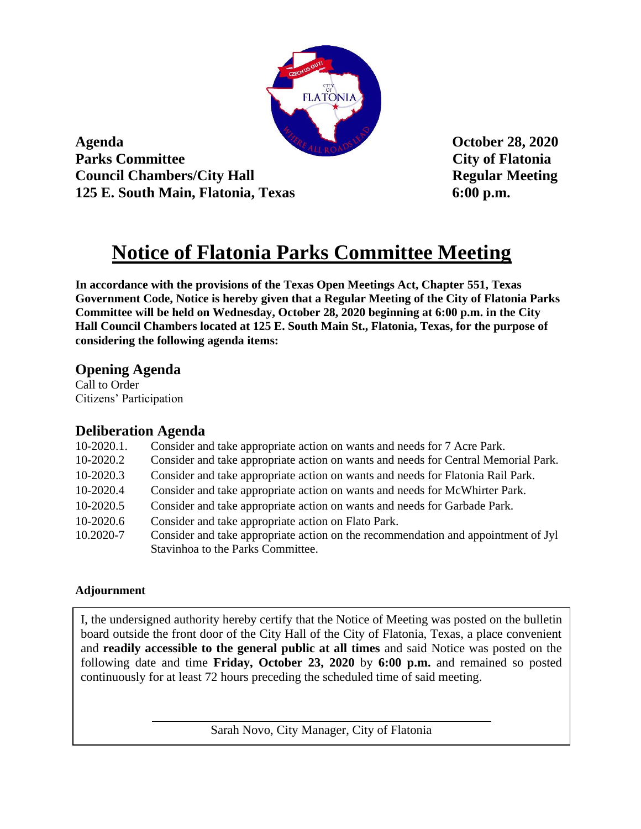

**Agenda October 28, 2020 Parks Committee City of Flatonia Council Chambers/City Hall Regular Meeting 125 E. South Main, Flatonia, Texas 6:00 p.m.**

# **Notice of Flatonia Parks Committee Meeting**

**In accordance with the provisions of the Texas Open Meetings Act, Chapter 551, Texas Government Code, Notice is hereby given that a Regular Meeting of the City of Flatonia Parks Committee will be held on Wednesday, October 28, 2020 beginning at 6:00 p.m. in the City Hall Council Chambers located at 125 E. South Main St., Flatonia, Texas, for the purpose of considering the following agenda items:** 

## **Opening Agenda**

Call to Order Citizens' Participation

## **Deliberation Agenda**

| $10-2020.1$ . | Consider and take appropriate action on wants and needs for 7 Acre Park.           |
|---------------|------------------------------------------------------------------------------------|
| 10-2020.2     | Consider and take appropriate action on wants and needs for Central Memorial Park. |
| 10-2020.3     | Consider and take appropriate action on wants and needs for Flatonia Rail Park.    |
| 10-2020.4     | Consider and take appropriate action on wants and needs for McWhirter Park.        |
| 10-2020.5     | Consider and take appropriate action on wants and needs for Garbade Park.          |
| 10-2020.6     | Consider and take appropriate action on Flato Park.                                |
| 10.2020-7     | Consider and take appropriate action on the recommendation and appointment of Jyl  |
|               | Stavinhoa to the Parks Committee.                                                  |
|               |                                                                                    |

## **Adjournment**

I, the undersigned authority hereby certify that the Notice of Meeting was posted on the bulletin board outside the front door of the City Hall of the City of Flatonia, Texas, a place convenient and **readily accessible to the general public at all times** and said Notice was posted on the following date and time **Friday, October 23, 2020** by **6:00 p.m.** and remained so posted continuously for at least 72 hours preceding the scheduled time of said meeting.

Sarah Novo, City Manager, City of Flatonia